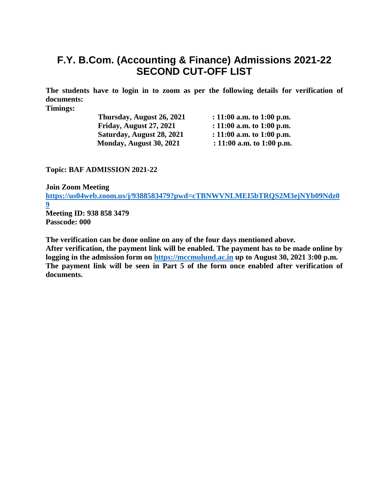# **F.Y. B.Com. (Accounting & Finance) Admissions 2021-22 SECOND CUT-OFF LIST**

**The students have to login in to zoom as per the following details for verification of documents:**

**Timings:**

**Thursday, August 26, 2021 : 11:00 a.m. to 1:00 p.m. Friday, August 27, 2021 : 11:00 a.m. to 1:00 p.m. Saturday, August 28, 2021 : 11:00 a.m. to 1:00 p.m. Monday, August 30, 2021** : 11:00 a.m. to 1:00 p.m.

**Topic: BAF ADMISSION 2021-22**

**Join Zoom Meeting [https://us04web.zoom.us/j/9388583479?pwd=cTBNWVNLMEI5bTRQS2M3ejNYb09Ndz0](https://us04web.zoom.us/j/9388583479?pwd=cTBNWVNLMEI5bTRQS2M3ejNYb09Ndz09) [9](https://us04web.zoom.us/j/9388583479?pwd=cTBNWVNLMEI5bTRQS2M3ejNYb09Ndz09) Meeting ID: 938 858 3479 Passcode: 000**

**The verification can be done online on any of the four days mentioned above. After verification, the payment link will be enabled. The payment has to be made online by logging in the admission form on [https://mccmulund.ac.in](https://mccmulund.ac.in/) up to August 30, 2021 3:00 p.m. The payment link will be seen in Part 5 of the form once enabled after verification of documents.**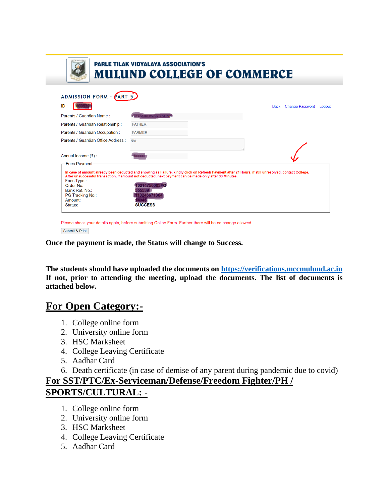|                                                                                                              | <b>PARLE TILAK VIDYALAYA ASSOCIATION'S</b><br><b>MULUND COLLEGE OF COMMERCE</b>                                                                                                                                                                                                                            |             |                        |        |
|--------------------------------------------------------------------------------------------------------------|------------------------------------------------------------------------------------------------------------------------------------------------------------------------------------------------------------------------------------------------------------------------------------------------------------|-------------|------------------------|--------|
|                                                                                                              |                                                                                                                                                                                                                                                                                                            |             |                        |        |
| ADMISSION FORM - PART 5                                                                                      |                                                                                                                                                                                                                                                                                                            |             |                        |        |
| ID:                                                                                                          |                                                                                                                                                                                                                                                                                                            | <b>Back</b> | <b>Change Password</b> | Logout |
| Parents / Guardian Name:                                                                                     | <b>AMKUWAR YADAV</b>                                                                                                                                                                                                                                                                                       |             |                        |        |
| Parents / Guardian Relationship :                                                                            | <b>FATHER</b>                                                                                                                                                                                                                                                                                              |             |                        |        |
| Parents / Guardian Occupation:                                                                               | <b>FARMER</b>                                                                                                                                                                                                                                                                                              |             |                        |        |
| Parents / Guardian Office Address :                                                                          | N/A                                                                                                                                                                                                                                                                                                        |             |                        |        |
| Annual Income (₹) :                                                                                          |                                                                                                                                                                                                                                                                                                            |             |                        |        |
| -Fees Payment-<br>Fees Type:<br>Order No:<br>Bank Ref. No.:<br><b>PG Tracking No.:</b><br>Amount:<br>Status: | In case of amount already been deducted and showing as Failure, kindly click on Refresh Payment after 24 Hours, if still unresolved, contact College.<br>After unsuccessful transaction, if amount not deducted, next payment can be made only after 30 Minutes.<br>10214750003FG<br>0246671364<br>SUCCESS |             |                        |        |

Please check your details again, before submitting Online Form. Further there will be no change allowed. Submit & Print

**Once the payment is made, the Status will change to Success.** 

**The students should have uploaded the documents on [https://verifications.mccmulund.ac.in](https://verifications.mccmulund.ac.in/) If not, prior to attending the meeting, upload the documents. The list of documents is attached below.**

# **For Open Category:-**

- 1. College online form
- 2. University online form
- 3. HSC Marksheet
- 4. College Leaving Certificate
- 5. Aadhar Card
- 6. Death certificate (in case of demise of any parent during pandemic due to covid)

## **For SST/PTC/Ex-Serviceman/Defense/Freedom Fighter/PH / SPORTS/CULTURAL: -**

- 1. College online form
- 2. University online form
- 3. HSC Marksheet
- 4. College Leaving Certificate
- 5. Aadhar Card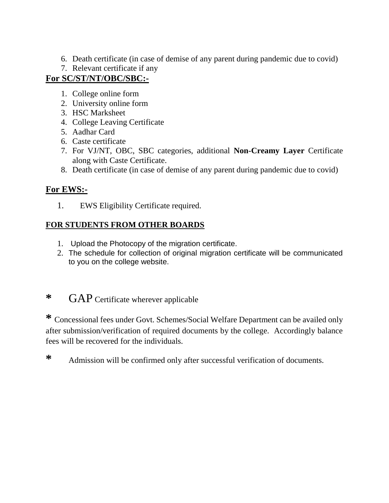- 6. Death certificate (in case of demise of any parent during pandemic due to covid)
- 7. Relevant certificate if any

## **For SC/ST/NT/OBC/SBC:-**

- 1. College online form
- 2. University online form
- 3. HSC Marksheet
- 4. College Leaving Certificate
- 5. Aadhar Card
- 6. Caste certificate
- 7. For VJ/NT, OBC, SBC categories, additional **Non-Creamy Layer** Certificate along with Caste Certificate.
- 8. Death certificate (in case of demise of any parent during pandemic due to covid)

## **For EWS:-**

1. EWS Eligibility Certificate required.

## **FOR STUDENTS FROM OTHER BOARDS**

- 1. Upload the Photocopy of the migration certificate.
- 2. The schedule for collection of original migration certificate will be communicated to you on the college website.

# **\*** GAP Certificate wherever applicable

**\*** Concessional fees under Govt. Schemes/Social Welfare Department can be availed only after submission/verification of required documents by the college. Accordingly balance fees will be recovered for the individuals.

**\*** Admission will be confirmed only after successful verification of documents.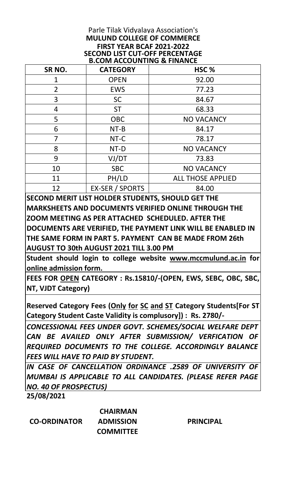### Parle Tilak Vidyalaya Association's **MULUND COLLEGE OF COMMERCE FIRST YEAR BCAF 2021-2022 B.COM ACCOUNTING & FINANCE SECOND LIST CUT-OFF PERCENTAGE**

| SR NO.         | <b>CATEGORY</b>        | HSC <sub>%</sub>         |
|----------------|------------------------|--------------------------|
| 1              | <b>OPEN</b>            | 92.00                    |
| $\overline{2}$ | <b>EWS</b>             | 77.23                    |
| 3              | <b>SC</b>              | 84.67                    |
| 4              | <b>ST</b>              | 68.33                    |
| 5              | <b>OBC</b>             | <b>NO VACANCY</b>        |
| 6              | $NT-B$                 | 84.17                    |
|                | NT-C                   | 78.17                    |
| 8              | NT-D                   | <b>NO VACANCY</b>        |
| 9              | VJ/DT                  | 73.83                    |
| 10             | <b>SBC</b>             | <b>NO VACANCY</b>        |
| 11             | PH/LD                  | <b>ALL THOSE APPLIED</b> |
| 12             | <b>EX-SER / SPORTS</b> | 84.00                    |

**SECOND MERIT LIST HOLDER STUDENTS, SHOULD GET THE MARKSHEETS AND DOCUMENTS VERIFIED ONLINE THROUGH THE ZOOM MEETING AS PER ATTACHED SCHEDULED. AFTER THE DOCUMENTS ARE VERIFIED, THE PAYMENT LINK WILL BE ENABLED IN THE SAME FORM IN PART 5. PAYMENT CAN BE MADE FROM 26th AUGUST TO 30th AUGUST 2021 TILL 3.00 PM** 

**Student should login to college website www.mccmulund.ac.in for online admission form.** 

**FEES FOR OPEN CATEGORY : Rs.15810/-(OPEN, EWS, SEBC, OBC, SBC, NT, VJDT Category)**

**Reserved Category Fees (Only for SC and ST Category Students[For ST Category Student Caste Validity is complusory]) : Rs. 2780/-** 

*CONCESSIONAL FEES UNDER GOVT. SCHEMES/SOCIAL WELFARE DEPT CAN BE AVAILED ONLY AFTER SUBMISSION/ VERFICATION OF REQUIRED DOCUMENTS TO THE COLLEGE. ACCORDINGLY BALANCE FEES WILL HAVE TO PAID BY STUDENT.*

*IN CASE OF CANCELLATION ORDINANCE .2589 OF UNIVERSITY OF MUMBAI IS APPLICABLE TO ALL CANDIDATES. (PLEASE REFER PAGE NO. 40 OF PROSPECTUS)*

**25/08/2021**

**CO-ORDINATOR**

 **CHAIRMAN ADMISSION COMMITTEE**

**PRINCIPAL**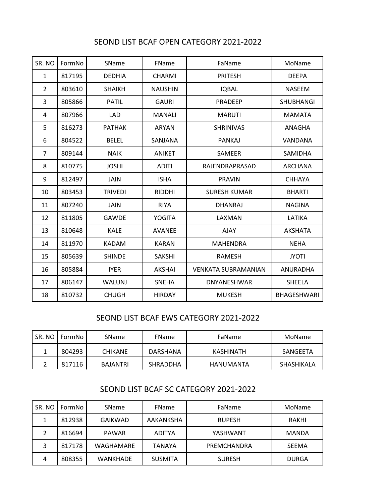### SEOND LIST BCAF OPEN CATEGORY 2021-2022

| SR. NO         | FormNo | SName          | FName          | FaName                     | MoName             |
|----------------|--------|----------------|----------------|----------------------------|--------------------|
| $\mathbf{1}$   | 817195 | <b>DEDHIA</b>  | <b>CHARMI</b>  | <b>PRITESH</b>             | <b>DEEPA</b>       |
| $\overline{2}$ | 803610 | <b>SHAIKH</b>  | <b>NAUSHIN</b> | <b>IQBAL</b>               | <b>NASEEM</b>      |
| 3              | 805866 | <b>PATIL</b>   | <b>GAURI</b>   | <b>PRADEEP</b>             | <b>SHUBHANGI</b>   |
| 4              | 807966 | LAD            | <b>MANALI</b>  | <b>MARUTI</b>              | <b>MAMATA</b>      |
| 5              | 816273 | <b>PATHAK</b>  | <b>ARYAN</b>   | <b>SHRINIVAS</b>           | ANAGHA             |
| 6              | 804522 | <b>BELEL</b>   | SANJANA        | <b>PANKAJ</b>              | VANDANA            |
| $\overline{7}$ | 809144 | <b>NAIK</b>    | <b>ANIKET</b>  | SAMEER                     | SAMIDHA            |
| 8              | 810775 | <b>JOSHI</b>   | <b>ADITI</b>   | RAJENDRAPRASAD             | <b>ARCHANA</b>     |
| 9              | 812497 | <b>JAIN</b>    | <b>ISHA</b>    | <b>PRAVIN</b>              | <b>CHHAYA</b>      |
| 10             | 803453 | <b>TRIVEDI</b> | <b>RIDDHI</b>  | <b>SURESH KUMAR</b>        | <b>BHARTI</b>      |
| 11             | 807240 | <b>JAIN</b>    | <b>RIYA</b>    | <b>DHANRAJ</b>             | <b>NAGINA</b>      |
| 12             | 811805 | GAWDE          | <b>YOGITA</b>  | LAXMAN                     | LATIKA             |
| 13             | 810648 | <b>KALE</b>    | <b>AVANEE</b>  | <b>AJAY</b>                | <b>AKSHATA</b>     |
| 14             | 811970 | <b>KADAM</b>   | <b>KARAN</b>   | <b>MAHENDRA</b>            | <b>NEHA</b>        |
| 15             | 805639 | <b>SHINDE</b>  | <b>SAKSHI</b>  | <b>RAMESH</b>              | <b>JYOTI</b>       |
| 16             | 805884 | <b>IYER</b>    | <b>AKSHAI</b>  | <b>VENKATA SUBRAMANIAN</b> | <b>ANURADHA</b>    |
| 17             | 806147 | WALUNJ         | <b>SNEHA</b>   | <b>DNYANESHWAR</b>         | SHEELA             |
| 18             | 810732 | <b>CHUGH</b>   | <b>HIRDAY</b>  | <b>MUKESH</b>              | <b>BHAGESHWARI</b> |

#### SEOND LIST BCAF EWS CATEGORY 2021-2022

| SR. NO | FormNo | <b>SName</b>   | FName           | FaName           | MoName     |
|--------|--------|----------------|-----------------|------------------|------------|
|        | 804293 | <b>CHIKANE</b> | DARSHANA        | <b>KASHINATH</b> | SANGEETA   |
|        | 817116 | BAJANTRI       | <b>SHRADDHA</b> | HANUMANTA        | SHASHIKALA |

## SEOND LIST BCAF SC CATEGORY 2021-2022

| SR. NO | FormNo | SName           | FName          | FaName        | MoName       |
|--------|--------|-----------------|----------------|---------------|--------------|
|        | 812938 | GAIKWAD         | AAKANKSHA      | <b>RUPESH</b> | RAKHI        |
|        | 816694 | <b>PAWAR</b>    | <b>ADITYA</b>  | YASHWANT      | <b>MANDA</b> |
| 3      | 817178 | WAGHAMARE       | <b>TANAYA</b>  | PREMCHANDRA   | <b>SEEMA</b> |
| 4      | 808355 | <b>WANKHADE</b> | <b>SUSMITA</b> | <b>SURESH</b> | <b>DURGA</b> |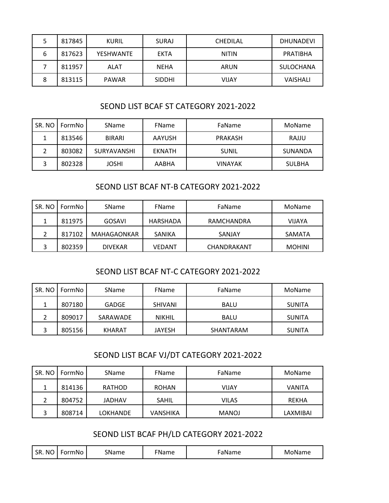|   | 817845 | KURIL            | <b>SURAJ</b>  | <b>CHEDILAL</b> | <b>DHUNADEVI</b> |
|---|--------|------------------|---------------|-----------------|------------------|
| 6 | 817623 | <b>YESHWANTE</b> | <b>EKTA</b>   | <b>NITIN</b>    | PRATIBHA         |
|   | 811957 | ALAT             | <b>NEHA</b>   | ARUN            | SULOCHANA        |
| 8 | 813115 | <b>PAWAR</b>     | <b>SIDDHI</b> | VIJAY           | <b>VAISHALI</b>  |

### SEOND LIST BCAF ST CATEGORY 2021-2022

| SR. NO | FormNo I | <b>SName</b>       | <b>FName</b>  | FaName         | MoName         |
|--------|----------|--------------------|---------------|----------------|----------------|
| J.     | 813546   | <b>BIRARI</b>      | <b>AAYUSH</b> | <b>PRAKASH</b> | RAJJU          |
| ำ      | 803082   | <b>SURYAVANSHI</b> | <b>EKNATH</b> | <b>SUNIL</b>   | <b>SUNANDA</b> |
| 3      | 802328   | <b>JOSHI</b>       | <b>AABHA</b>  | <b>VINAYAK</b> | <b>SULBHA</b>  |

### SEOND LIST BCAF NT-B CATEGORY 2021-2022

| SR. NO | FormNo | SName          | <b>FName</b> | FaName      | MoName        |
|--------|--------|----------------|--------------|-------------|---------------|
|        | 811975 | GOSAVI         | HARSHADA     | RAMCHANDRA  | <b>VIJAYA</b> |
|        | 817102 | MAHAGAONKAR    | SANIKA       | SANJAY      | SAMATA        |
| э      | 802359 | <b>DIVEKAR</b> | VEDANT       | CHANDRAKANT | <b>MOHINI</b> |

### SEOND LIST BCAF NT-C CATEGORY 2021-2022

| SR. NO | FormNo I | SName         | <b>FName</b>   | FaName      | MoName        |
|--------|----------|---------------|----------------|-------------|---------------|
|        | 807180   | <b>GADGE</b>  | <b>SHIVANI</b> | <b>BALU</b> | <b>SUNITA</b> |
|        | 809017   | SARAWADE      | <b>NIKHIL</b>  | <b>BALU</b> | <b>SUNITA</b> |
| ∍      | 805156   | <b>KHARAT</b> | <b>JAYESH</b>  | SHANTARAM   | <b>SUNITA</b> |

#### SEOND LIST BCAF VJ/DT CATEGORY 2021-2022

| SR. NO | FormNo | SName         | FName        | FaName       | MoName       |
|--------|--------|---------------|--------------|--------------|--------------|
|        | 814136 | <b>RATHOD</b> | <b>ROHAN</b> | VIJAY        | VANITA       |
|        | 804752 | <b>JADHAV</b> | <b>SAHIL</b> | <b>VILAS</b> | <b>REKHA</b> |
| 3      | 808714 | LOKHANDE      | VANSHIKA     | <b>MANOJ</b> | LAXMIBAI     |

## SEOND LIST BCAF PH/LD CATEGORY 2021-2022

| SR.<br><b>NO</b><br>FormNo<br>SName | <b>EName</b> | ⊦aName | MoName |
|-------------------------------------|--------------|--------|--------|
|-------------------------------------|--------------|--------|--------|